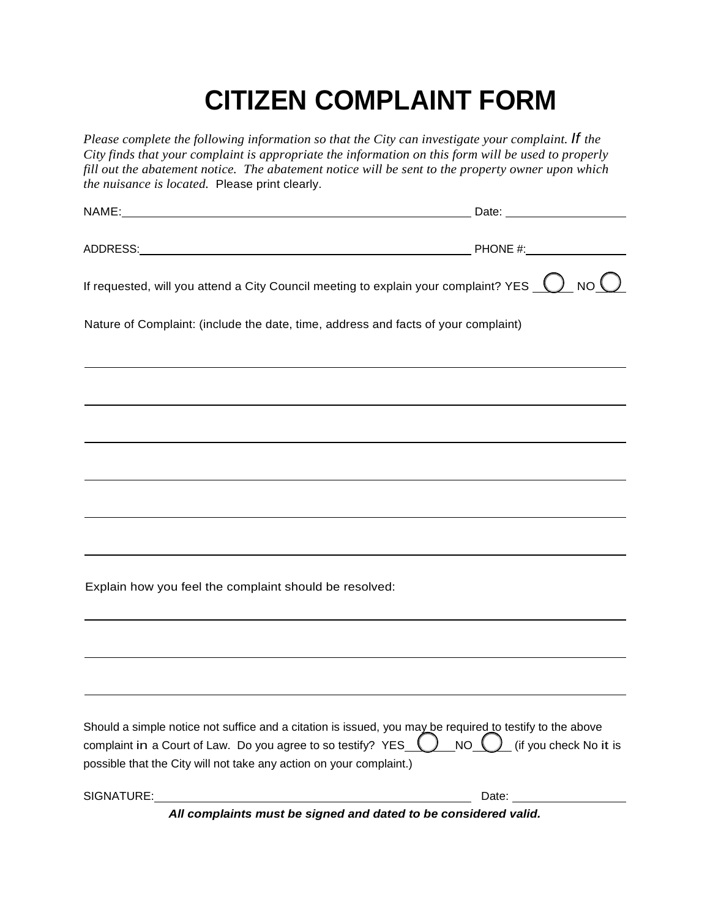## **CITIZEN COMPLAINT FORM**

*Please complete the following information so that the City can investigate your complaint. If the City finds that your complaint is appropriate the information on this form will be used to properly fill out the abatement notice. The abatement notice will be sent to the property owner upon which the nuisance is located.* Please print clearly. NAME: Date: ADDRESS: PHONE #: If requested, will you attend a City Council meeting to explain your complaint? YES  $\bigcirc$  NO  $\bigcirc$ Nature of Complaint: (include the date, time, address and facts of your complaint) Explain how you feel the complaint should be resolved: Should a simple notice not suffice and a citation is issued, you may be required to testify to the above complaint in a Court of Law. Do you agree to so testify? YES  $\bigcirc$  NO  $\bigcirc$  (if you check No it is possible that the City will not take any action on your complaint.) SIGNATURE: Date: Date: Date: Date: Date: Date: Date: Date: Date: Date: Date: Date: Date: Date: Date: Date: Date: Date: Date: Date: Date: Date: Date: Date: Date: Date: Date: Date: Date: Date: Date: Date: Date: Date: Date: D

*All complaints must be signed and dated to be considered valid.*